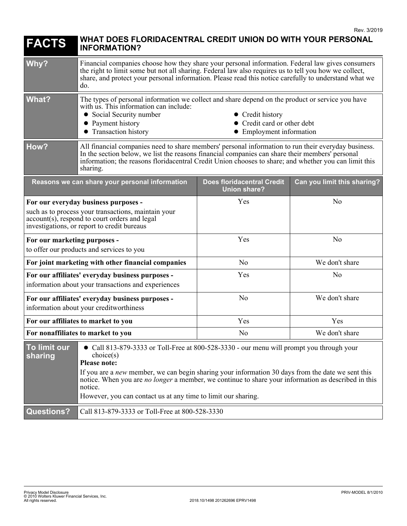| <b>FACTS</b>                                                                                                                                                                                                                                                                                                                                                                                                                                                | WHAT DOES FLORIDACENTRAL CREDIT UNION DO WITH YOUR PERSONAL<br><b>INFORMATION?</b>                                                                                                                                                                                                                                          |                                                                             |                             |
|-------------------------------------------------------------------------------------------------------------------------------------------------------------------------------------------------------------------------------------------------------------------------------------------------------------------------------------------------------------------------------------------------------------------------------------------------------------|-----------------------------------------------------------------------------------------------------------------------------------------------------------------------------------------------------------------------------------------------------------------------------------------------------------------------------|-----------------------------------------------------------------------------|-----------------------------|
| Why?                                                                                                                                                                                                                                                                                                                                                                                                                                                        | Financial companies choose how they share your personal information. Federal law gives consumers<br>the right to limit some but not all sharing. Federal law also requires us to tell you how we collect,<br>share, and protect your personal information. Please read this notice carefully to understand what we<br>do.   |                                                                             |                             |
| What?                                                                                                                                                                                                                                                                                                                                                                                                                                                       | The types of personal information we collect and share depend on the product or service you have<br>with us. This information can include:<br>Social Security number<br>Payment history<br>• Transaction history                                                                                                            | • Credit history<br>• Credit card or other debt<br>• Employment information |                             |
| How?                                                                                                                                                                                                                                                                                                                                                                                                                                                        | All financial companies need to share members' personal information to run their everyday business.<br>In the section below, we list the reasons financial companies can share their members' personal<br>information; the reasons floridacentral Credit Union chooses to share; and whether you can limit this<br>sharing. |                                                                             |                             |
|                                                                                                                                                                                                                                                                                                                                                                                                                                                             | Reasons we can share your personal information                                                                                                                                                                                                                                                                              | <b>Does floridacentral Credit</b><br><b>Union share?</b>                    | Can you limit this sharing? |
| For our everyday business purposes -<br>such as to process your transactions, maintain your<br>account(s), respond to court orders and legal<br>investigations, or report to credit bureaus                                                                                                                                                                                                                                                                 |                                                                                                                                                                                                                                                                                                                             | Yes                                                                         | N <sub>o</sub>              |
| For our marketing purposes -<br>to offer our products and services to you                                                                                                                                                                                                                                                                                                                                                                                   |                                                                                                                                                                                                                                                                                                                             | Yes                                                                         | N <sub>o</sub>              |
| For joint marketing with other financial companies                                                                                                                                                                                                                                                                                                                                                                                                          |                                                                                                                                                                                                                                                                                                                             | N <sub>0</sub>                                                              | We don't share              |
| For our affiliates' everyday business purposes -<br>information about your transactions and experiences                                                                                                                                                                                                                                                                                                                                                     |                                                                                                                                                                                                                                                                                                                             | Yes                                                                         | N <sub>o</sub>              |
| For our affiliates' everyday business purposes -<br>information about your creditworthiness                                                                                                                                                                                                                                                                                                                                                                 |                                                                                                                                                                                                                                                                                                                             | N <sub>0</sub>                                                              | We don't share              |
| For our affiliates to market to you                                                                                                                                                                                                                                                                                                                                                                                                                         |                                                                                                                                                                                                                                                                                                                             | Yes                                                                         | Yes                         |
| For nonaffiliates to market to you                                                                                                                                                                                                                                                                                                                                                                                                                          |                                                                                                                                                                                                                                                                                                                             | N <sub>o</sub>                                                              | We don't share              |
| To limit our<br>Call 813-879-3333 or Toll-Free at 800-528-3330 - our menu will prompt you through your<br>choice(s)<br>sharing<br><b>Please note:</b><br>If you are a <i>new</i> member, we can begin sharing your information 30 days from the date we sent this<br>notice. When you are <i>no longer</i> a member, we continue to share your information as described in this<br>notice.<br>However, you can contact us at any time to limit our sharing. |                                                                                                                                                                                                                                                                                                                             |                                                                             |                             |
| <b>Questions?</b>                                                                                                                                                                                                                                                                                                                                                                                                                                           | Call 813-879-3333 or Toll-Free at 800-528-3330                                                                                                                                                                                                                                                                              |                                                                             |                             |